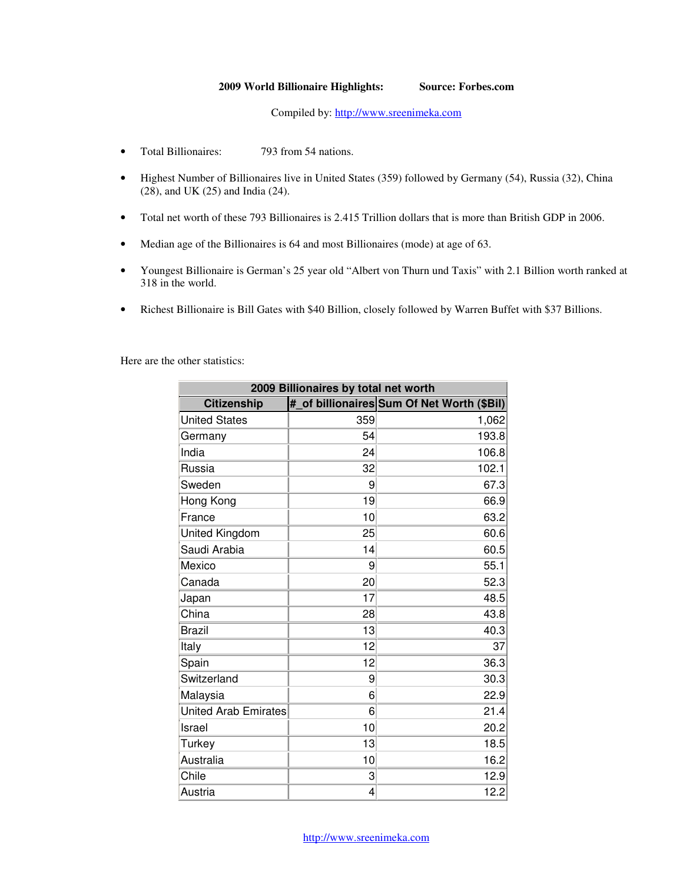## **2009 World Billionaire Highlights: Source: Forbes.com**

Compiled by: http://www.sreenimeka.com

- Total Billionaires: 793 from 54 nations.
- Highest Number of Billionaires live in United States (359) followed by Germany (54), Russia (32), China (28), and UK (25) and India (24).
- Total net worth of these 793 Billionaires is 2.415 Trillion dollars that is more than British GDP in 2006.
- Median age of the Billionaires is 64 and most Billionaires (mode) at age of 63.
- Youngest Billionaire is German's 25 year old "Albert von Thurn und Taxis" with 2.1 Billion worth ranked at 318 in the world.
- Richest Billionaire is Bill Gates with \$40 Billion, closely followed by Warren Buffet with \$37 Billions.

Here are the other statistics:

| 2009 Billionaires by total net worth |     |                                            |
|--------------------------------------|-----|--------------------------------------------|
| <b>Citizenship</b>                   |     | # of billionaires Sum Of Net Worth (\$Bil) |
| <b>United States</b>                 | 359 | 1,062                                      |
| Germany                              | 54  | 193.8                                      |
| India                                | 24  | 106.8                                      |
| Russia                               | 32  | 102.1                                      |
| Sweden                               | 9   | 67.3                                       |
| Hong Kong                            | 19  | 66.9                                       |
| France                               | 10  | 63.2                                       |
| United Kingdom                       | 25  | 60.6                                       |
| Saudi Arabia                         | 14  | 60.5                                       |
| Mexico                               | 9   | 55.1                                       |
| Canada                               | 20  | 52.3                                       |
| Japan                                | 17  | 48.5                                       |
| China                                | 28  | 43.8                                       |
| <b>Brazil</b>                        | 13  | 40.3                                       |
| Italy                                | 12  | 37                                         |
| Spain                                | 12  | 36.3                                       |
| Switzerland                          | 9   | 30.3                                       |
| Malaysia                             | 6   | 22.9                                       |
| United Arab Emirates                 | 6   | 21.4                                       |
| Israel                               | 10  | 20.2                                       |
| Turkey                               | 13  | 18.5                                       |
| Australia                            | 10  | 16.2                                       |
| Chile                                | 3   | 12.9                                       |
| Austria                              | 4   | 12.2                                       |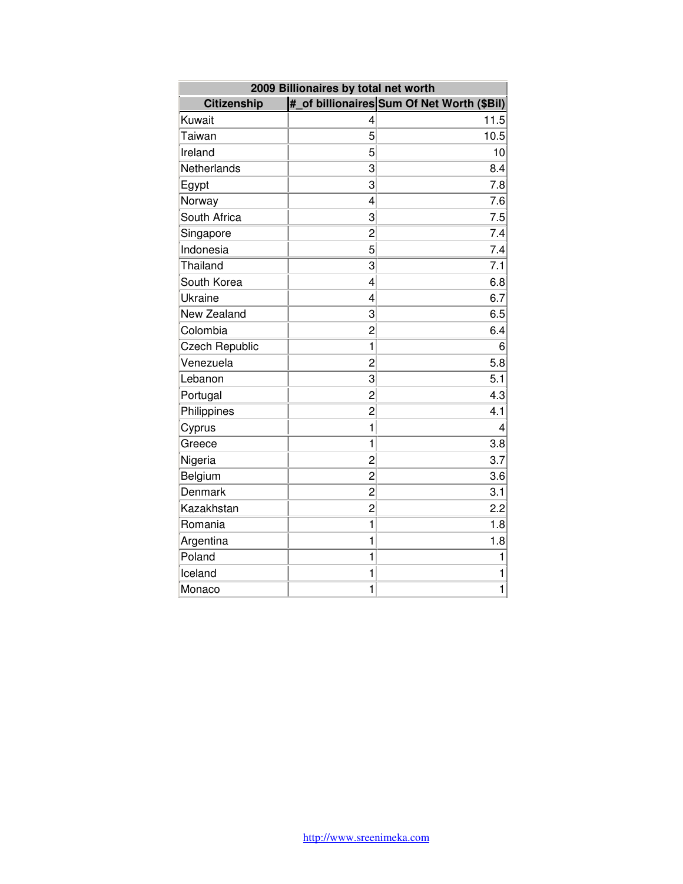| 2009 Billionaires by total net worth |                |                                            |
|--------------------------------------|----------------|--------------------------------------------|
| <b>Citizenship</b>                   |                | # of billionaires Sum Of Net Worth (\$Bil) |
| Kuwait                               | 4              | 11.5                                       |
| Taiwan                               | 5              | 10.5                                       |
| Ireland                              | 5              | 10                                         |
| Netherlands                          | 3              | 8.4                                        |
| Egypt                                | 3              | 7.8                                        |
| Norway                               | $\overline{4}$ | 7.6                                        |
| South Africa                         | 3              | 7.5                                        |
| Singapore                            | 2              | 7.4                                        |
| Indonesia                            | 5              | 7.4                                        |
| Thailand                             | 3              | $7.\overline{1}$                           |
| South Korea                          | 4              | 6.8                                        |
| Ukraine                              | 4              | 6.7                                        |
| New Zealand                          | 3              | 6.5                                        |
| Colombia                             | $\overline{c}$ | 6.4                                        |
| <b>Czech Republic</b>                | 1              | 6                                          |
| Venezuela                            | $\overline{c}$ | 5.8                                        |
| Lebanon                              | 3              | 5.1                                        |
| Portugal                             | $\overline{c}$ | 4.3                                        |
| Philippines                          | $\overline{c}$ | 4.1                                        |
| Cyprus                               | 1              | 4                                          |
| Greece                               | 1              | 3.8                                        |
| Nigeria                              | 2              | 3.7                                        |
| Belgium                              | $\overline{c}$ | 3.6                                        |
| Denmark                              | $\overline{c}$ | 3.1                                        |
| Kazakhstan                           | $\overline{c}$ | 2.2                                        |
| Romania                              | 1              | 1.8                                        |
| Argentina                            | $\mathbf{1}$   | 1.8                                        |
| Poland                               | $\mathbf 1$    | 1                                          |
| Iceland                              | 1              | 1                                          |
| Monaco                               | $\mathbf{1}$   | 1                                          |